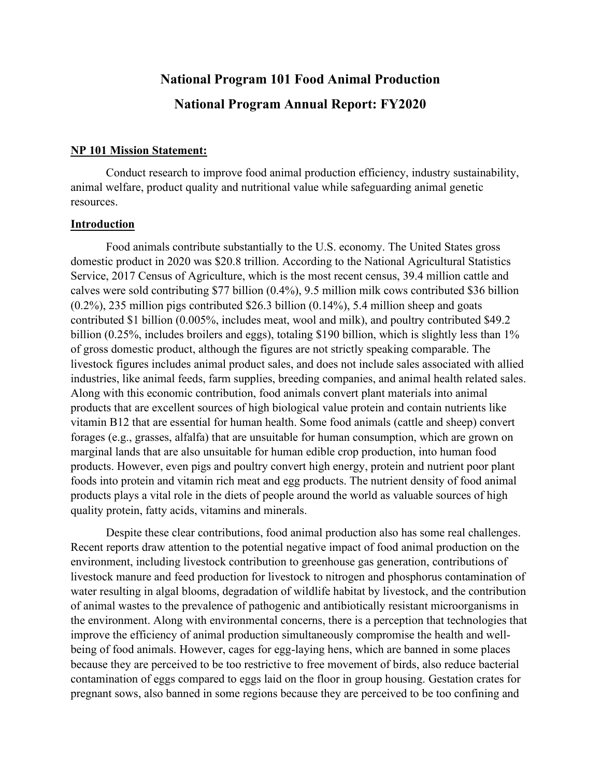# **National Program 101 Food Animal Production National Program Annual Report: FY2020**

#### **NP 101 Mission Statement:**

Conduct research to improve food animal production efficiency, industry sustainability, animal welfare, product quality and nutritional value while safeguarding animal genetic resources.

#### **Introduction**

Food animals contribute substantially to the U.S. economy. The United States gross domestic product in 2020 was \$20.8 trillion. According to the National Agricultural Statistics Service, 2017 Census of Agriculture, which is the most recent census, 39.4 million cattle and calves were sold contributing \$77 billion (0.4%), 9.5 million milk cows contributed \$36 billion (0.2%), 235 million pigs contributed \$26.3 billion (0.14%), 5.4 million sheep and goats contributed \$1 billion (0.005%, includes meat, wool and milk), and poultry contributed \$49.2 billion (0.25%, includes broilers and eggs), totaling \$190 billion, which is slightly less than 1% of gross domestic product, although the figures are not strictly speaking comparable. The livestock figures includes animal product sales, and does not include sales associated with allied industries, like animal feeds, farm supplies, breeding companies, and animal health related sales. Along with this economic contribution, food animals convert plant materials into animal products that are excellent sources of high biological value protein and contain nutrients like vitamin B12 that are essential for human health. Some food animals (cattle and sheep) convert forages (e.g., grasses, alfalfa) that are unsuitable for human consumption, which are grown on marginal lands that are also unsuitable for human edible crop production, into human food products. However, even pigs and poultry convert high energy, protein and nutrient poor plant foods into protein and vitamin rich meat and egg products. The nutrient density of food animal products plays a vital role in the diets of people around the world as valuable sources of high quality protein, fatty acids, vitamins and minerals.

Despite these clear contributions, food animal production also has some real challenges. Recent reports draw attention to the potential negative impact of food animal production on the environment, including livestock contribution to greenhouse gas generation, contributions of livestock manure and feed production for livestock to nitrogen and phosphorus contamination of water resulting in algal blooms, degradation of wildlife habitat by livestock, and the contribution of animal wastes to the prevalence of pathogenic and antibiotically resistant microorganisms in the environment. Along with environmental concerns, there is a perception that technologies that improve the efficiency of animal production simultaneously compromise the health and wellbeing of food animals. However, cages for egg-laying hens, which are banned in some places because they are perceived to be too restrictive to free movement of birds, also reduce bacterial contamination of eggs compared to eggs laid on the floor in group housing. Gestation crates for pregnant sows, also banned in some regions because they are perceived to be too confining and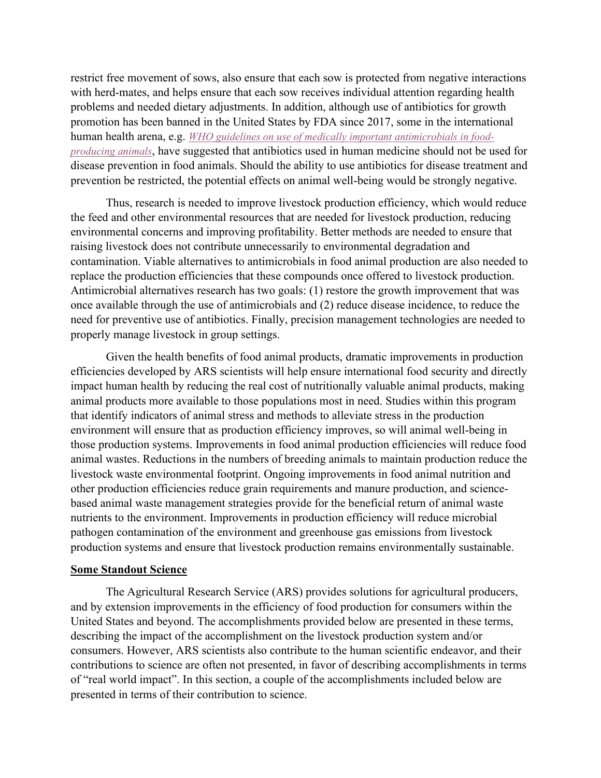restrict free movement of sows, also ensure that each sow is protected from negative interactions with herd-mates, and helps ensure that each sow receives individual attention regarding health problems and needed dietary adjustments. In addition, although use of antibiotics for growth promotion has been banned in the United States by FDA since 2017, some in the international human health arena, e.g. *[WHO guidelines on use of medically important antimicrobials in food](https://www.who.int/entity/foodsafety/areas_work/antimicrobial-resistance/cia_guidelines/en/index.html)[producing animals](https://www.who.int/entity/foodsafety/areas_work/antimicrobial-resistance/cia_guidelines/en/index.html)*, have suggested that antibiotics used in human medicine should not be used for disease prevention in food animals. Should the ability to use antibiotics for disease treatment and prevention be restricted, the potential effects on animal well-being would be strongly negative.

Thus, research is needed to improve livestock production efficiency, which would reduce the feed and other environmental resources that are needed for livestock production, reducing environmental concerns and improving profitability. Better methods are needed to ensure that raising livestock does not contribute unnecessarily to environmental degradation and contamination. Viable alternatives to antimicrobials in food animal production are also needed to replace the production efficiencies that these compounds once offered to livestock production. Antimicrobial alternatives research has two goals: (1) restore the growth improvement that was once available through the use of antimicrobials and (2) reduce disease incidence, to reduce the need for preventive use of antibiotics. Finally, precision management technologies are needed to properly manage livestock in group settings.

Given the health benefits of food animal products, dramatic improvements in production efficiencies developed by ARS scientists will help ensure international food security and directly impact human health by reducing the real cost of nutritionally valuable animal products, making animal products more available to those populations most in need. Studies within this program that identify indicators of animal stress and methods to alleviate stress in the production environment will ensure that as production efficiency improves, so will animal well-being in those production systems. Improvements in food animal production efficiencies will reduce food animal wastes. Reductions in the numbers of breeding animals to maintain production reduce the livestock waste environmental footprint. Ongoing improvements in food animal nutrition and other production efficiencies reduce grain requirements and manure production, and sciencebased animal waste management strategies provide for the beneficial return of animal waste nutrients to the environment. Improvements in production efficiency will reduce microbial pathogen contamination of the environment and greenhouse gas emissions from livestock production systems and ensure that livestock production remains environmentally sustainable.

#### **Some Standout Science**

The Agricultural Research Service (ARS) provides solutions for agricultural producers, and by extension improvements in the efficiency of food production for consumers within the United States and beyond. The accomplishments provided below are presented in these terms, describing the impact of the accomplishment on the livestock production system and/or consumers. However, ARS scientists also contribute to the human scientific endeavor, and their contributions to science are often not presented, in favor of describing accomplishments in terms of "real world impact". In this section, a couple of the accomplishments included below are presented in terms of their contribution to science.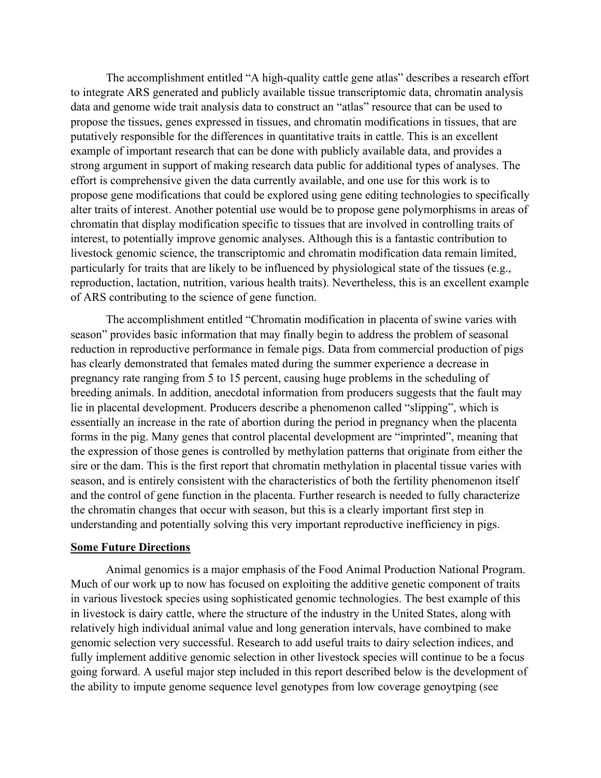The accomplishment entitled "A high-quality cattle gene atlas" describes a research effort to integrate ARS generated and publicly available tissue transcriptomic data, chromatin analysis data and genome wide trait analysis data to construct an "atlas" resource that can be used to propose the tissues, genes expressed in tissues, and chromatin modifications in tissues, that are putatively responsible for the differences in quantitative traits in cattle. This is an excellent example of important research that can be done with publicly available data, and provides a strong argument in support of making research data public for additional types of analyses. The effort is comprehensive given the data currently available, and one use for this work is to propose gene modifications that could be explored using gene editing technologies to specifically alter traits of interest. Another potential use would be to propose gene polymorphisms in areas of chromatin that display modification specific to tissues that are involved in controlling traits of interest, to potentially improve genomic analyses. Although this is a fantastic contribution to livestock genomic science, the transcriptomic and chromatin modification data remain limited, particularly for traits that are likely to be influenced by physiological state of the tissues (e.g., reproduction, lactation, nutrition, various health traits). Nevertheless, this is an excellent example of ARS contributing to the science of gene function.

The accomplishment entitled "Chromatin modification in placenta of swine varies with season" provides basic information that may finally begin to address the problem of seasonal reduction in reproductive performance in female pigs. Data from commercial production of pigs has clearly demonstrated that females mated during the summer experience a decrease in pregnancy rate ranging from 5 to 15 percent, causing huge problems in the scheduling of breeding animals. In addition, anecdotal information from producers suggests that the fault may lie in placental development. Producers describe a phenomenon called "slipping", which is essentially an increase in the rate of abortion during the period in pregnancy when the placenta forms in the pig. Many genes that control placental development are "imprinted", meaning that the expression of those genes is controlled by methylation patterns that originate from either the sire or the dam. This is the first report that chromatin methylation in placental tissue varies with season, and is entirely consistent with the characteristics of both the fertility phenomenon itself and the control of gene function in the placenta. Further research is needed to fully characterize the chromatin changes that occur with season, but this is a clearly important first step in understanding and potentially solving this very important reproductive inefficiency in pigs.

#### **Some Future Directions**

Animal genomics is a major emphasis of the Food Animal Production National Program. Much of our work up to now has focused on exploiting the additive genetic component of traits in various livestock species using sophisticated genomic technologies. The best example of this in livestock is dairy cattle, where the structure of the industry in the United States, along with relatively high individual animal value and long generation intervals, have combined to make genomic selection very successful. Research to add useful traits to dairy selection indices, and fully implement additive genomic selection in other livestock species will continue to be a focus going forward. A useful major step included in this report described below is the development of the ability to impute genome sequence level genotypes from low coverage genoytping (see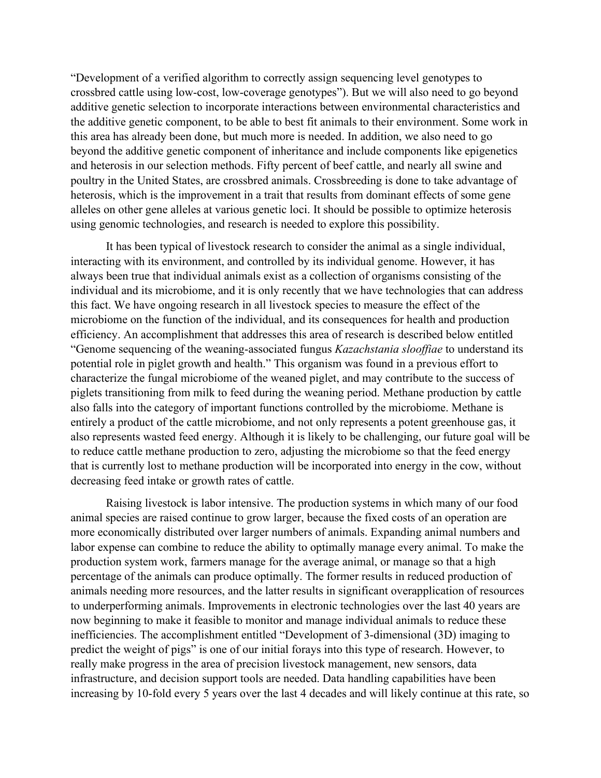"Development of a verified algorithm to correctly assign sequencing level genotypes to crossbred cattle using low-cost, low-coverage genotypes"). But we will also need to go beyond additive genetic selection to incorporate interactions between environmental characteristics and the additive genetic component, to be able to best fit animals to their environment. Some work in this area has already been done, but much more is needed. In addition, we also need to go beyond the additive genetic component of inheritance and include components like epigenetics and heterosis in our selection methods. Fifty percent of beef cattle, and nearly all swine and poultry in the United States, are crossbred animals. Crossbreeding is done to take advantage of heterosis, which is the improvement in a trait that results from dominant effects of some gene alleles on other gene alleles at various genetic loci. It should be possible to optimize heterosis using genomic technologies, and research is needed to explore this possibility.

It has been typical of livestock research to consider the animal as a single individual, interacting with its environment, and controlled by its individual genome. However, it has always been true that individual animals exist as a collection of organisms consisting of the individual and its microbiome, and it is only recently that we have technologies that can address this fact. We have ongoing research in all livestock species to measure the effect of the microbiome on the function of the individual, and its consequences for health and production efficiency. An accomplishment that addresses this area of research is described below entitled "Genome sequencing of the weaning-associated fungus *Kazachstania slooffiae* to understand its potential role in piglet growth and health." This organism was found in a previous effort to characterize the fungal microbiome of the weaned piglet, and may contribute to the success of piglets transitioning from milk to feed during the weaning period. Methane production by cattle also falls into the category of important functions controlled by the microbiome. Methane is entirely a product of the cattle microbiome, and not only represents a potent greenhouse gas, it also represents wasted feed energy. Although it is likely to be challenging, our future goal will be to reduce cattle methane production to zero, adjusting the microbiome so that the feed energy that is currently lost to methane production will be incorporated into energy in the cow, without decreasing feed intake or growth rates of cattle.

Raising livestock is labor intensive. The production systems in which many of our food animal species are raised continue to grow larger, because the fixed costs of an operation are more economically distributed over larger numbers of animals. Expanding animal numbers and labor expense can combine to reduce the ability to optimally manage every animal. To make the production system work, farmers manage for the average animal, or manage so that a high percentage of the animals can produce optimally. The former results in reduced production of animals needing more resources, and the latter results in significant overapplication of resources to underperforming animals. Improvements in electronic technologies over the last 40 years are now beginning to make it feasible to monitor and manage individual animals to reduce these inefficiencies. The accomplishment entitled "Development of 3-dimensional (3D) imaging to predict the weight of pigs" is one of our initial forays into this type of research. However, to really make progress in the area of precision livestock management, new sensors, data infrastructure, and decision support tools are needed. Data handling capabilities have been increasing by 10-fold every 5 years over the last 4 decades and will likely continue at this rate, so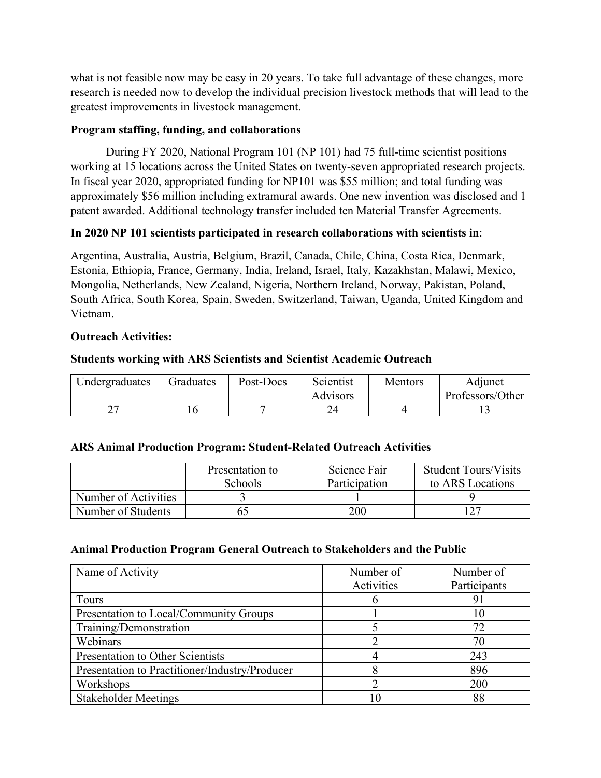what is not feasible now may be easy in 20 years. To take full advantage of these changes, more research is needed now to develop the individual precision livestock methods that will lead to the greatest improvements in livestock management.

#### **Program staffing, funding, and collaborations**

During FY 2020, National Program 101 (NP 101) had 75 full-time scientist positions working at 15 locations across the United States on twenty-seven appropriated research projects. In fiscal year 2020, appropriated funding for NP101 was \$55 million; and total funding was approximately \$56 million including extramural awards. One new invention was disclosed and 1 patent awarded. Additional technology transfer included ten Material Transfer Agreements.

#### **In 2020 NP 101 scientists participated in research collaborations with scientists in**:

Argentina, Australia, Austria, Belgium, Brazil, Canada, Chile, China, Costa Rica, Denmark, Estonia, Ethiopia, France, Germany, India, Ireland, Israel, Italy, Kazakhstan, Malawi, Mexico, Mongolia, Netherlands, New Zealand, Nigeria, Northern Ireland, Norway, Pakistan, Poland, South Africa, South Korea, Spain, Sweden, Switzerland, Taiwan, Uganda, United Kingdom and Vietnam.

#### **Outreach Activities:**

#### **Students working with ARS Scientists and Scientist Academic Outreach**

| Undergraduates | <b>Graduates</b> | Post-Docs | Scientist | Mentors | Adjunct          |  |
|----------------|------------------|-----------|-----------|---------|------------------|--|
|                |                  |           | Advisors  |         | Professors/Other |  |
| ∽              |                  |           |           |         |                  |  |

#### **ARS Animal Production Program: Student-Related Outreach Activities**

|                      | Presentation to | Science Fair  | <b>Student Tours/Visits</b> |
|----------------------|-----------------|---------------|-----------------------------|
|                      | <b>Schools</b>  | Participation | to ARS Locations            |
| Number of Activities |                 |               |                             |
| Number of Students   |                 | 200           |                             |

#### **Animal Production Program General Outreach to Stakeholders and the Public**

| Name of Activity                               | Number of  | Number of    |  |
|------------------------------------------------|------------|--------------|--|
|                                                | Activities | Participants |  |
| Tours                                          |            | 91           |  |
| Presentation to Local/Community Groups         |            | 10           |  |
| Training/Demonstration                         |            | 72           |  |
| Webinars                                       |            | 70           |  |
| Presentation to Other Scientists               |            | 243          |  |
| Presentation to Practitioner/Industry/Producer |            | 896          |  |
| Workshops                                      |            | 200          |  |
| <b>Stakeholder Meetings</b>                    |            | 88           |  |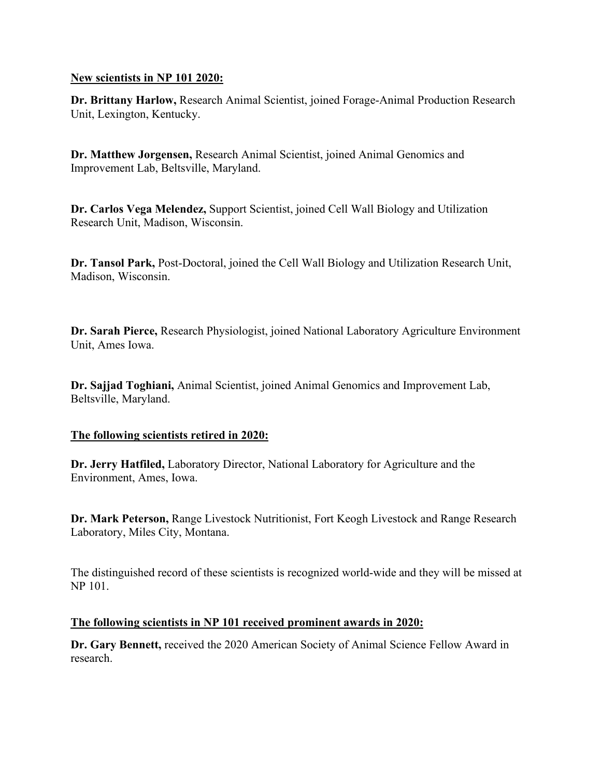#### **New scientists in NP 101 2020:**

**Dr. Brittany Harlow,** Research Animal Scientist, joined Forage-Animal Production Research Unit, Lexington, Kentucky.

**Dr. Matthew Jorgensen,** Research Animal Scientist, joined Animal Genomics and Improvement Lab, Beltsville, Maryland.

**Dr. Carlos Vega Melendez,** Support Scientist, joined Cell Wall Biology and Utilization Research Unit, Madison, Wisconsin.

**Dr. Tansol Park,** Post-Doctoral, joined the Cell Wall Biology and Utilization Research Unit, Madison, Wisconsin.

**Dr. Sarah Pierce,** Research Physiologist, joined National Laboratory Agriculture Environment Unit, Ames Iowa.

**Dr. Sajjad Toghiani,** Animal Scientist, joined Animal Genomics and Improvement Lab, Beltsville, Maryland.

## **The following scientists retired in 2020:**

**Dr. Jerry Hatfiled,** Laboratory Director, National Laboratory for Agriculture and the Environment, Ames, Iowa.

**Dr. Mark Peterson,** Range Livestock Nutritionist, Fort Keogh Livestock and Range Research Laboratory, Miles City, Montana.

The distinguished record of these scientists is recognized world-wide and they will be missed at NP 101.

## **The following scientists in NP 101 received prominent awards in 2020:**

**Dr. Gary Bennett,** received the 2020 American Society of Animal Science Fellow Award in research.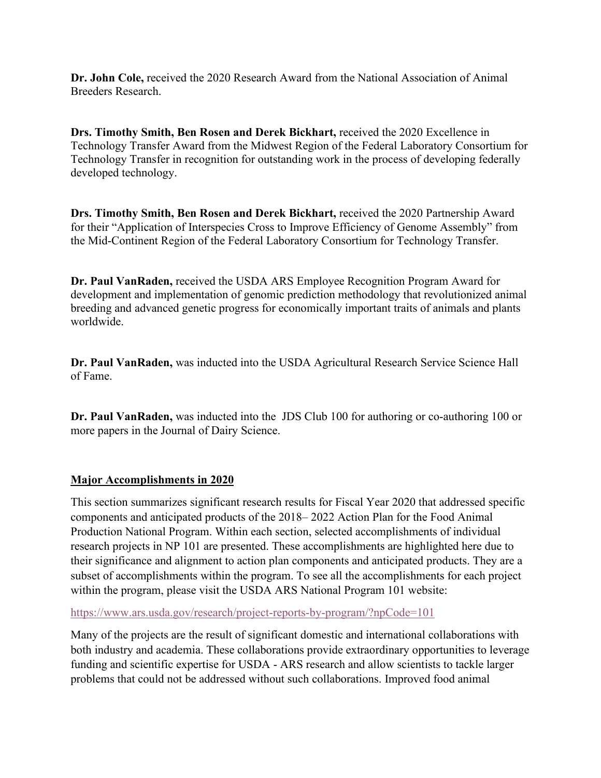**Dr. John Cole,** received the 2020 Research Award from the National Association of Animal Breeders Research.

**Drs. Timothy Smith, Ben Rosen and Derek Bickhart,** received the 2020 Excellence in Technology Transfer Award from the Midwest Region of the Federal Laboratory Consortium for Technology Transfer in recognition for outstanding work in the process of developing federally developed technology.

**Drs. Timothy Smith, Ben Rosen and Derek Bickhart,** received the 2020 Partnership Award for their "Application of Interspecies Cross to Improve Efficiency of Genome Assembly" from the Mid-Continent Region of the Federal Laboratory Consortium for Technology Transfer.

**Dr. Paul VanRaden,** received the USDA ARS Employee Recognition Program Award for development and implementation of genomic prediction methodology that revolutionized animal breeding and advanced genetic progress for economically important traits of animals and plants worldwide.

**Dr. Paul VanRaden,** was inducted into the USDA Agricultural Research Service Science Hall of Fame.

**Dr. Paul VanRaden,** was inducted into the JDS Club 100 for authoring or co-authoring 100 or more papers in the Journal of Dairy Science.

## **Major Accomplishments in 2020**

This section summarizes significant research results for Fiscal Year 2020 that addressed specific components and anticipated products of the 2018– 2022 Action Plan for the Food Animal Production National Program. Within each section, selected accomplishments of individual research projects in NP 101 are presented. These accomplishments are highlighted here due to their significance and alignment to action plan components and anticipated products. They are a subset of accomplishments within the program. To see all the accomplishments for each project within the program, please visit the USDA ARS National Program 101 website:

#### <https://www.ars.usda.gov/research/project-reports-by-program/?npCode=101>

Many of the projects are the result of significant domestic and international collaborations with both industry and academia. These collaborations provide extraordinary opportunities to leverage funding and scientific expertise for USDA - ARS research and allow scientists to tackle larger problems that could not be addressed without such collaborations. Improved food animal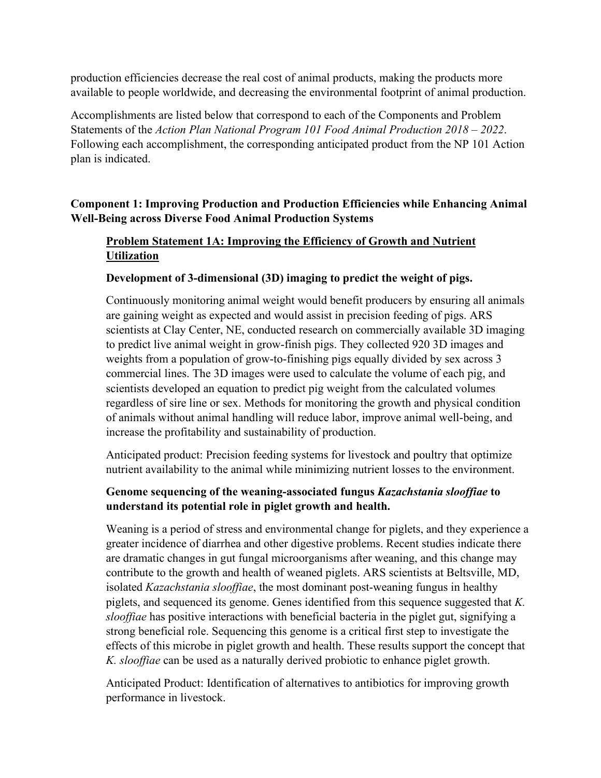production efficiencies decrease the real cost of animal products, making the products more available to people worldwide, and decreasing the environmental footprint of animal production.

Accomplishments are listed below that correspond to each of the Components and Problem Statements of the *Action Plan National Program 101 Food Animal Production 2018 – 2022*. Following each accomplishment, the corresponding anticipated product from the NP 101 Action plan is indicated.

## **Component 1: Improving Production and Production Efficiencies while Enhancing Animal Well-Being across Diverse Food Animal Production Systems**

# **Problem Statement 1A: Improving the Efficiency of Growth and Nutrient Utilization**

## **Development of 3-dimensional (3D) imaging to predict the weight of pigs.**

Continuously monitoring animal weight would benefit producers by ensuring all animals are gaining weight as expected and would assist in precision feeding of pigs. ARS scientists at Clay Center, NE, conducted research on commercially available 3D imaging to predict live animal weight in grow-finish pigs. They collected 920 3D images and weights from a population of grow-to-finishing pigs equally divided by sex across 3 commercial lines. The 3D images were used to calculate the volume of each pig, and scientists developed an equation to predict pig weight from the calculated volumes regardless of sire line or sex. Methods for monitoring the growth and physical condition of animals without animal handling will reduce labor, improve animal well-being, and increase the profitability and sustainability of production.

Anticipated product: Precision feeding systems for livestock and poultry that optimize nutrient availability to the animal while minimizing nutrient losses to the environment.

## **Genome sequencing of the weaning-associated fungus** *Kazachstania slooffiae* **to understand its potential role in piglet growth and health.**

Weaning is a period of stress and environmental change for piglets, and they experience a greater incidence of diarrhea and other digestive problems. Recent studies indicate there are dramatic changes in gut fungal microorganisms after weaning, and this change may contribute to the growth and health of weaned piglets. ARS scientists at Beltsville, MD, isolated *Kazachstania slooffiae*, the most dominant post-weaning fungus in healthy piglets, and sequenced its genome. Genes identified from this sequence suggested that *K. slooffiae* has positive interactions with beneficial bacteria in the piglet gut, signifying a strong beneficial role. Sequencing this genome is a critical first step to investigate the effects of this microbe in piglet growth and health. These results support the concept that *K. slooffiae* can be used as a naturally derived probiotic to enhance piglet growth.

Anticipated Product: Identification of alternatives to antibiotics for improving growth performance in livestock.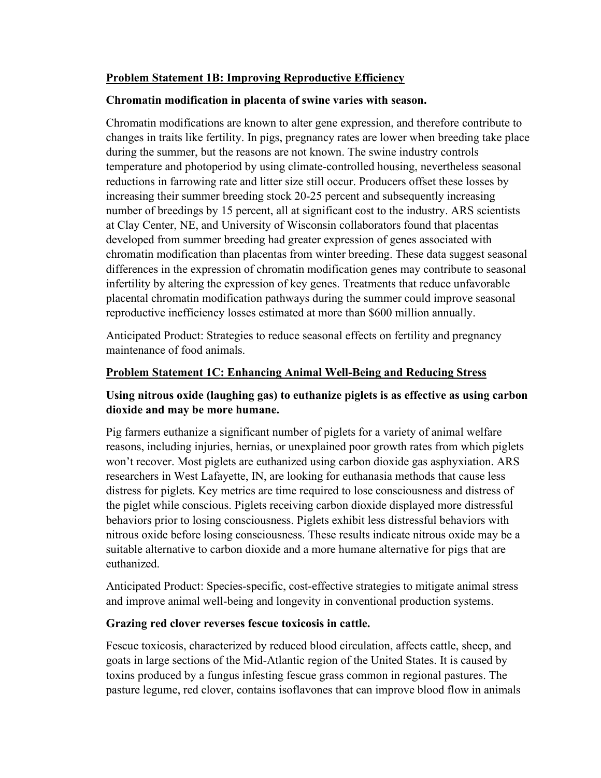#### **Problem Statement 1B: Improving Reproductive Efficiency**

#### **Chromatin modification in placenta of swine varies with season.**

Chromatin modifications are known to alter gene expression, and therefore contribute to changes in traits like fertility. In pigs, pregnancy rates are lower when breeding take place during the summer, but the reasons are not known. The swine industry controls temperature and photoperiod by using climate-controlled housing, nevertheless seasonal reductions in farrowing rate and litter size still occur. Producers offset these losses by increasing their summer breeding stock 20-25 percent and subsequently increasing number of breedings by 15 percent, all at significant cost to the industry. ARS scientists at Clay Center, NE, and University of Wisconsin collaborators found that placentas developed from summer breeding had greater expression of genes associated with chromatin modification than placentas from winter breeding. These data suggest seasonal differences in the expression of chromatin modification genes may contribute to seasonal infertility by altering the expression of key genes. Treatments that reduce unfavorable placental chromatin modification pathways during the summer could improve seasonal reproductive inefficiency losses estimated at more than \$600 million annually.

Anticipated Product: Strategies to reduce seasonal effects on fertility and pregnancy maintenance of food animals.

#### **Problem Statement 1C: Enhancing Animal Well-Being and Reducing Stress**

## **Using nitrous oxide (laughing gas) to euthanize piglets is as effective as using carbon dioxide and may be more humane.**

Pig farmers euthanize a significant number of piglets for a variety of animal welfare reasons, including injuries, hernias, or unexplained poor growth rates from which piglets won't recover. Most piglets are euthanized using carbon dioxide gas asphyxiation. ARS researchers in West Lafayette, IN, are looking for euthanasia methods that cause less distress for piglets. Key metrics are time required to lose consciousness and distress of the piglet while conscious. Piglets receiving carbon dioxide displayed more distressful behaviors prior to losing consciousness. Piglets exhibit less distressful behaviors with nitrous oxide before losing consciousness. These results indicate nitrous oxide may be a suitable alternative to carbon dioxide and a more humane alternative for pigs that are euthanized.

Anticipated Product: Species-specific, cost-effective strategies to mitigate animal stress and improve animal well-being and longevity in conventional production systems.

## **Grazing red clover reverses fescue toxicosis in cattle.**

Fescue toxicosis, characterized by reduced blood circulation, affects cattle, sheep, and goats in large sections of the Mid-Atlantic region of the United States. It is caused by toxins produced by a fungus infesting fescue grass common in regional pastures. The pasture legume, red clover, contains isoflavones that can improve blood flow in animals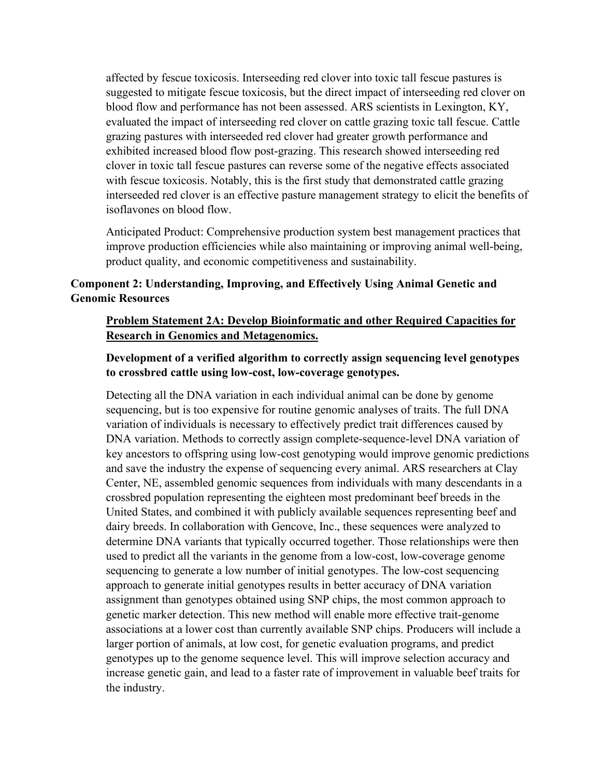affected by fescue toxicosis. Interseeding red clover into toxic tall fescue pastures is suggested to mitigate fescue toxicosis, but the direct impact of interseeding red clover on blood flow and performance has not been assessed. ARS scientists in Lexington, KY, evaluated the impact of interseeding red clover on cattle grazing toxic tall fescue. Cattle grazing pastures with interseeded red clover had greater growth performance and exhibited increased blood flow post-grazing. This research showed interseeding red clover in toxic tall fescue pastures can reverse some of the negative effects associated with fescue toxicosis. Notably, this is the first study that demonstrated cattle grazing interseeded red clover is an effective pasture management strategy to elicit the benefits of isoflavones on blood flow.

Anticipated Product: Comprehensive production system best management practices that improve production efficiencies while also maintaining or improving animal well-being, product quality, and economic competitiveness and sustainability.

## **Component 2: Understanding, Improving, and Effectively Using Animal Genetic and Genomic Resources**

#### **Problem Statement 2A: Develop Bioinformatic and other Required Capacities for Research in Genomics and Metagenomics.**

## **Development of a verified algorithm to correctly assign sequencing level genotypes to crossbred cattle using low-cost, low-coverage genotypes.**

Detecting all the DNA variation in each individual animal can be done by genome sequencing, but is too expensive for routine genomic analyses of traits. The full DNA variation of individuals is necessary to effectively predict trait differences caused by DNA variation. Methods to correctly assign complete-sequence-level DNA variation of key ancestors to offspring using low-cost genotyping would improve genomic predictions and save the industry the expense of sequencing every animal. ARS researchers at Clay Center, NE, assembled genomic sequences from individuals with many descendants in a crossbred population representing the eighteen most predominant beef breeds in the United States, and combined it with publicly available sequences representing beef and dairy breeds. In collaboration with Gencove, Inc., these sequences were analyzed to determine DNA variants that typically occurred together. Those relationships were then used to predict all the variants in the genome from a low-cost, low-coverage genome sequencing to generate a low number of initial genotypes. The low-cost sequencing approach to generate initial genotypes results in better accuracy of DNA variation assignment than genotypes obtained using SNP chips, the most common approach to genetic marker detection. This new method will enable more effective trait-genome associations at a lower cost than currently available SNP chips. Producers will include a larger portion of animals, at low cost, for genetic evaluation programs, and predict genotypes up to the genome sequence level. This will improve selection accuracy and increase genetic gain, and lead to a faster rate of improvement in valuable beef traits for the industry.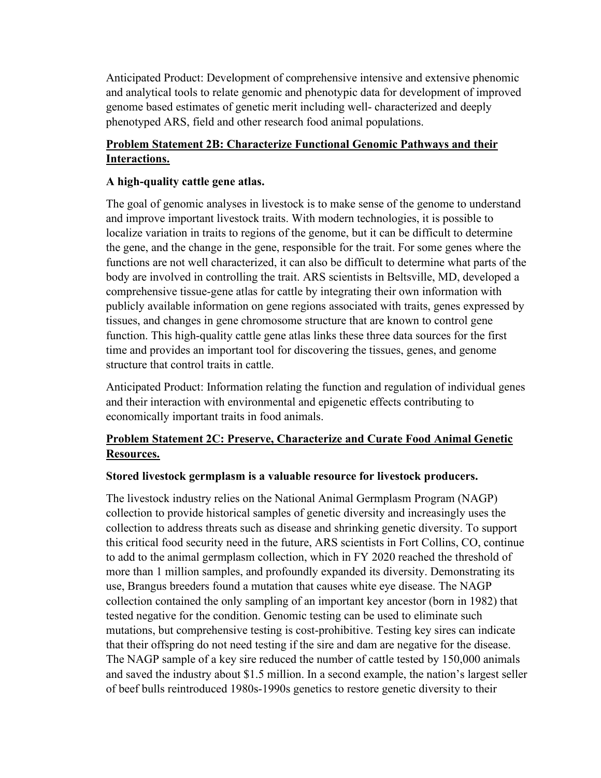Anticipated Product: Development of comprehensive intensive and extensive phenomic and analytical tools to relate genomic and phenotypic data for development of improved genome based estimates of genetic merit including well- characterized and deeply phenotyped ARS, field and other research food animal populations.

## **Problem Statement 2B: Characterize Functional Genomic Pathways and their Interactions.**

## **A high-quality cattle gene atlas.**

The goal of genomic analyses in livestock is to make sense of the genome to understand and improve important livestock traits. With modern technologies, it is possible to localize variation in traits to regions of the genome, but it can be difficult to determine the gene, and the change in the gene, responsible for the trait. For some genes where the functions are not well characterized, it can also be difficult to determine what parts of the body are involved in controlling the trait. ARS scientists in Beltsville, MD, developed a comprehensive tissue-gene atlas for cattle by integrating their own information with publicly available information on gene regions associated with traits, genes expressed by tissues, and changes in gene chromosome structure that are known to control gene function. This high-quality cattle gene atlas links these three data sources for the first time and provides an important tool for discovering the tissues, genes, and genome structure that control traits in cattle.

Anticipated Product: Information relating the function and regulation of individual genes and their interaction with environmental and epigenetic effects contributing to economically important traits in food animals.

# **Problem Statement 2C: Preserve, Characterize and Curate Food Animal Genetic Resources.**

## **Stored livestock germplasm is a valuable resource for livestock producers.**

The livestock industry relies on the National Animal Germplasm Program (NAGP) collection to provide historical samples of genetic diversity and increasingly uses the collection to address threats such as disease and shrinking genetic diversity. To support this critical food security need in the future, ARS scientists in Fort Collins, CO, continue to add to the animal germplasm collection, which in FY 2020 reached the threshold of more than 1 million samples, and profoundly expanded its diversity. Demonstrating its use, Brangus breeders found a mutation that causes white eye disease. The NAGP collection contained the only sampling of an important key ancestor (born in 1982) that tested negative for the condition. Genomic testing can be used to eliminate such mutations, but comprehensive testing is cost-prohibitive. Testing key sires can indicate that their offspring do not need testing if the sire and dam are negative for the disease. The NAGP sample of a key sire reduced the number of cattle tested by 150,000 animals and saved the industry about \$1.5 million. In a second example, the nation's largest seller of beef bulls reintroduced 1980s-1990s genetics to restore genetic diversity to their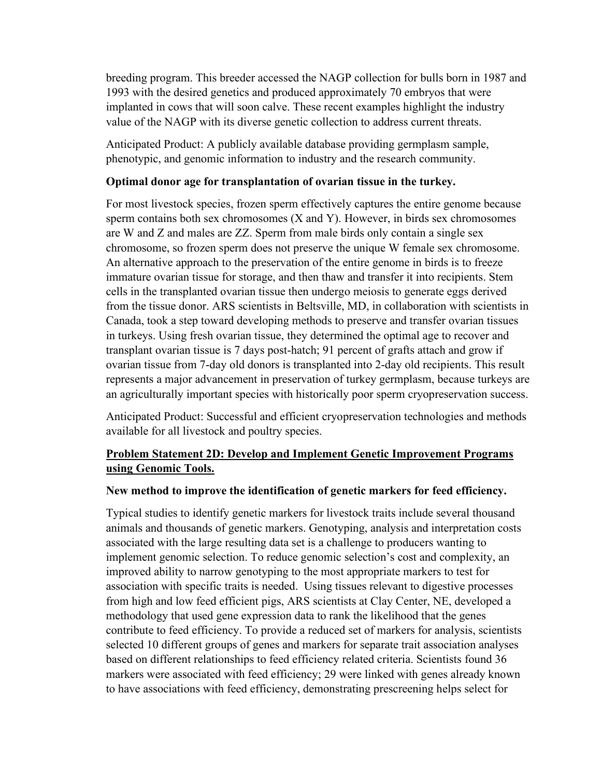breeding program. This breeder accessed the NAGP collection for bulls born in 1987 and 1993 with the desired genetics and produced approximately 70 embryos that were implanted in cows that will soon calve. These recent examples highlight the industry value of the NAGP with its diverse genetic collection to address current threats.

Anticipated Product: A publicly available database providing germplasm sample, phenotypic, and genomic information to industry and the research community.

#### **Optimal donor age for transplantation of ovarian tissue in the turkey.**

For most livestock species, frozen sperm effectively captures the entire genome because sperm contains both sex chromosomes (X and Y). However, in birds sex chromosomes are W and Z and males are ZZ. Sperm from male birds only contain a single sex chromosome, so frozen sperm does not preserve the unique W female sex chromosome. An alternative approach to the preservation of the entire genome in birds is to freeze immature ovarian tissue for storage, and then thaw and transfer it into recipients. Stem cells in the transplanted ovarian tissue then undergo meiosis to generate eggs derived from the tissue donor. ARS scientists in Beltsville, MD, in collaboration with scientists in Canada, took a step toward developing methods to preserve and transfer ovarian tissues in turkeys. Using fresh ovarian tissue, they determined the optimal age to recover and transplant ovarian tissue is 7 days post-hatch; 91 percent of grafts attach and grow if ovarian tissue from 7-day old donors is transplanted into 2-day old recipients. This result represents a major advancement in preservation of turkey germplasm, because turkeys are an agriculturally important species with historically poor sperm cryopreservation success.

Anticipated Product: Successful and efficient cryopreservation technologies and methods available for all livestock and poultry species.

## **Problem Statement 2D: Develop and Implement Genetic Improvement Programs using Genomic Tools.**

#### **New method to improve the identification of genetic markers for feed efficiency.**

Typical studies to identify genetic markers for livestock traits include several thousand animals and thousands of genetic markers. Genotyping, analysis and interpretation costs associated with the large resulting data set is a challenge to producers wanting to implement genomic selection. To reduce genomic selection's cost and complexity, an improved ability to narrow genotyping to the most appropriate markers to test for association with specific traits is needed. Using tissues relevant to digestive processes from high and low feed efficient pigs, ARS scientists at Clay Center, NE, developed a methodology that used gene expression data to rank the likelihood that the genes contribute to feed efficiency. To provide a reduced set of markers for analysis, scientists selected 10 different groups of genes and markers for separate trait association analyses based on different relationships to feed efficiency related criteria. Scientists found 36 markers were associated with feed efficiency; 29 were linked with genes already known to have associations with feed efficiency, demonstrating prescreening helps select for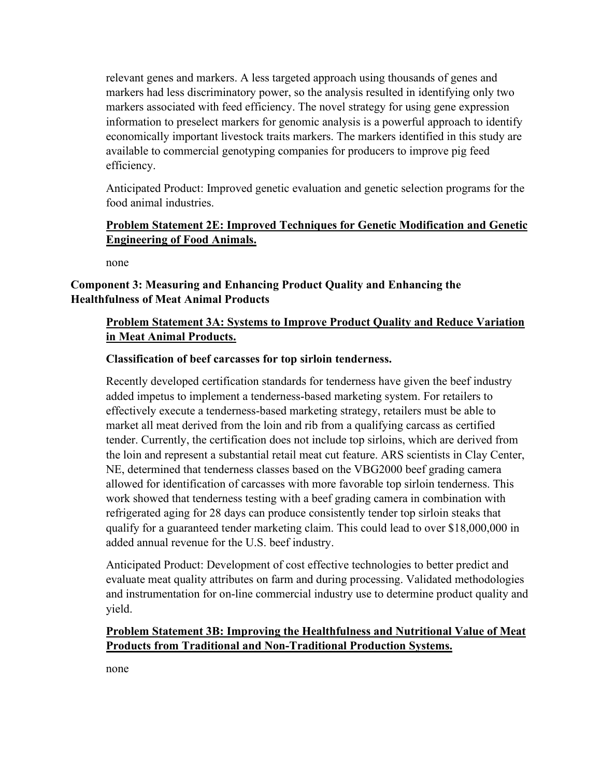relevant genes and markers. A less targeted approach using thousands of genes and markers had less discriminatory power, so the analysis resulted in identifying only two markers associated with feed efficiency. The novel strategy for using gene expression information to preselect markers for genomic analysis is a powerful approach to identify economically important livestock traits markers. The markers identified in this study are available to commercial genotyping companies for producers to improve pig feed efficiency.

Anticipated Product: Improved genetic evaluation and genetic selection programs for the food animal industries.

## **Problem Statement 2E: Improved Techniques for Genetic Modification and Genetic Engineering of Food Animals.**

none

## **Component 3: Measuring and Enhancing Product Quality and Enhancing the Healthfulness of Meat Animal Products**

## **Problem Statement 3A: Systems to Improve Product Quality and Reduce Variation in Meat Animal Products.**

## **Classification of beef carcasses for top sirloin tenderness.**

Recently developed certification standards for tenderness have given the beef industry added impetus to implement a tenderness-based marketing system. For retailers to effectively execute a tenderness-based marketing strategy, retailers must be able to market all meat derived from the loin and rib from a qualifying carcass as certified tender. Currently, the certification does not include top sirloins, which are derived from the loin and represent a substantial retail meat cut feature. ARS scientists in Clay Center, NE, determined that tenderness classes based on the VBG2000 beef grading camera allowed for identification of carcasses with more favorable top sirloin tenderness. This work showed that tenderness testing with a beef grading camera in combination with refrigerated aging for 28 days can produce consistently tender top sirloin steaks that qualify for a guaranteed tender marketing claim. This could lead to over \$18,000,000 in added annual revenue for the U.S. beef industry.

Anticipated Product: Development of cost effective technologies to better predict and evaluate meat quality attributes on farm and during processing. Validated methodologies and instrumentation for on-line commercial industry use to determine product quality and yield.

## **Problem Statement 3B: Improving the Healthfulness and Nutritional Value of Meat Products from Traditional and Non-Traditional Production Systems.**